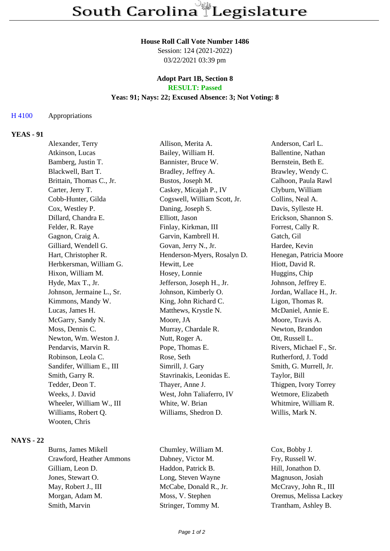#### **House Roll Call Vote Number 1486**

Session: 124 (2021-2022) 03/22/2021 03:39 pm

#### **Adopt Part 1B, Section 8 RESULT: Passed**

### **Yeas: 91; Nays: 22; Excused Absence: 3; Not Voting: 8**

### H 4100 Appropriations

## **YEAS - 91**

| Alexander, Terry          | Allison, Merita A.           | Anderson, Carl L.       |
|---------------------------|------------------------------|-------------------------|
| Atkinson, Lucas           | Bailey, William H.           | Ballentine, Nathan      |
| Bamberg, Justin T.        | Bannister, Bruce W.          | Bernstein, Beth E.      |
| Blackwell, Bart T.        | Bradley, Jeffrey A.          | Brawley, Wendy C.       |
| Brittain, Thomas C., Jr.  | Bustos, Joseph M.            | Calhoon, Paula Rawl     |
| Carter, Jerry T.          | Caskey, Micajah P., IV       | Clyburn, William        |
| Cobb-Hunter, Gilda        | Cogswell, William Scott, Jr. | Collins, Neal A.        |
| Cox, Westley P.           | Daning, Joseph S.            | Davis, Sylleste H.      |
| Dillard, Chandra E.       | Elliott, Jason               | Erickson, Shannon S.    |
| Felder, R. Raye           | Finlay, Kirkman, III         | Forrest, Cally R.       |
| Gagnon, Craig A.          | Garvin, Kambrell H.          | Gatch, Gil              |
| Gilliard, Wendell G.      | Govan, Jerry N., Jr.         | Hardee, Kevin           |
| Hart, Christopher R.      | Henderson-Myers, Rosalyn D.  | Henegan, Patricia Moore |
| Herbkersman, William G.   | Hewitt, Lee                  | Hiott, David R.         |
| Hixon, William M.         | Hosey, Lonnie                | Huggins, Chip           |
| Hyde, Max T., Jr.         | Jefferson, Joseph H., Jr.    | Johnson, Jeffrey E.     |
| Johnson, Jermaine L., Sr. | Johnson, Kimberly O.         | Jordan, Wallace H., Jr. |
| Kimmons, Mandy W.         | King, John Richard C.        | Ligon, Thomas R.        |
| Lucas, James H.           | Matthews, Krystle N.         | McDaniel, Annie E.      |
| McGarry, Sandy N.         | Moore, JA                    | Moore, Travis A.        |
| Moss, Dennis C.           | Murray, Chardale R.          | Newton, Brandon         |
| Newton, Wm. Weston J.     | Nutt, Roger A.               | Ott, Russell L.         |
| Pendarvis, Marvin R.      | Pope, Thomas E.              | Rivers, Michael F., Sr. |
| Robinson, Leola C.        | Rose, Seth                   | Rutherford, J. Todd     |
| Sandifer, William E., III | Simrill, J. Gary             | Smith, G. Murrell, Jr.  |
| Smith, Garry R.           | Stavrinakis, Leonidas E.     | Taylor, Bill            |
| Tedder, Deon T.           | Thayer, Anne J.              | Thigpen, Ivory Torrey   |
| Weeks, J. David           | West, John Taliaferro, IV    | Wetmore, Elizabeth      |
| Wheeler, William W., III  | White, W. Brian              | Whitmire, William R.    |
| Williams, Robert Q.       | Williams, Shedron D.         | Willis, Mark N.         |
| Wooten, Chris             |                              |                         |
|                           |                              |                         |

### **NAYS - 22**

Burns, James Mikell Chumley, William M. Cox, Bobby J. Crawford, Heather Ammons Dabney, Victor M. Fry, Russell W. Gilliam, Leon D. Haddon, Patrick B. Hill, Jonathon D. Jones, Stewart O. **Long, Steven Wayne** Magnuson, Josiah May, Robert J., III McCabe, Donald R., Jr. McCravy, John R., III Morgan, Adam M. Moss, V. Stephen Oremus, Melissa Lackey Smith, Marvin Stringer, Tommy M. Trantham, Ashley B.